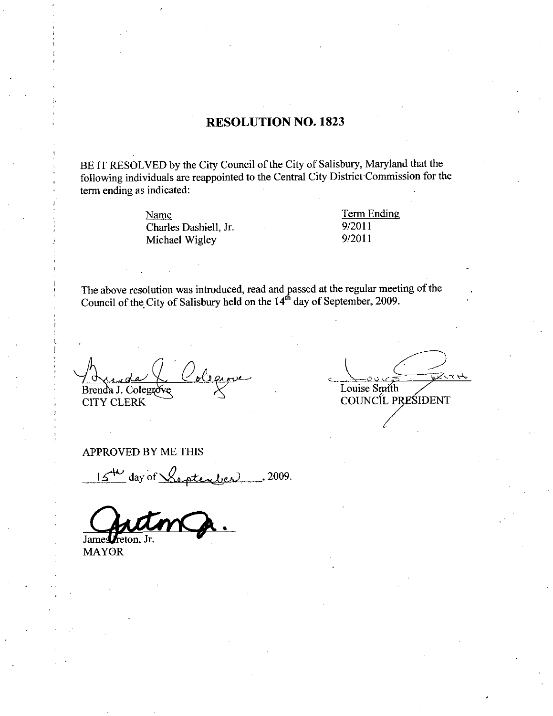## RESOLUTION NO. 1823

BE IT RESOLVED by the City Council of the City of Salisbury, Maryland that the following individuals are reappointed to the Central City District Commission for the term ending as indicated

Name Term Ending indicated:<br>
<u>Name</u><br>
Charles Dashiell, Jr. 9/2011<br>
Michael Wigley 9/2011 Name<br>Charles Dashiell, Jr. 9/2011<br>Michael Wigley 9/2011

The above resolution was introduced, read and passed at the regular meeting of the  $\Omega_{\text{tot}}$ . Set a Given field and the 14<sup>th</sup> day of Soptember, 2000. Council of the City of Salisbury held on the  $14<sup>th</sup>$  day of September, 2009.

Brenda J. Colegrove CITY CLERK

 $47.74$ Louise Smith COUNCIL PRESIDENT

APPROVED BY ME THIS

 $15^{4}$  day of Septenber 2009.

James Freton, Jr.

MAYOR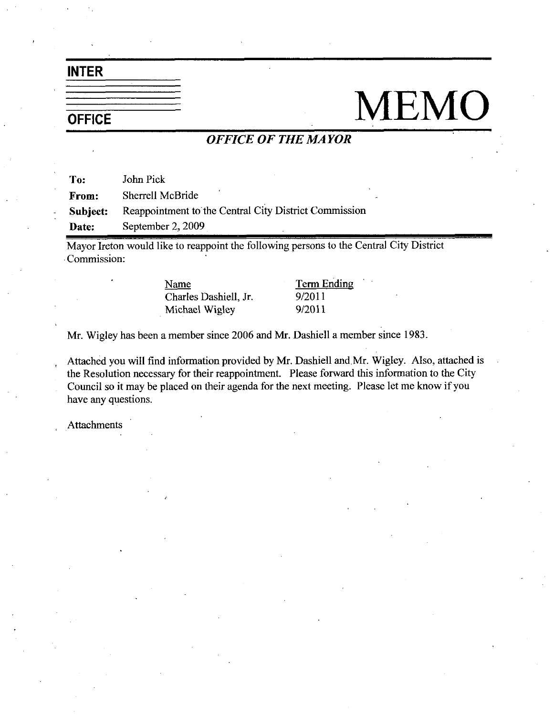INTER

# OFFICE MEMO

## OFFICE OF THE MAYOR

To: John Pick From: Sherrell McBride Subject: Reappointment to the Central City District Commission Date: September 2, 2009

Mayor Ireton would like to reappoint the following persons to the Central City District Commission

Name Term Ending Name Term I<br>Charles Dashiell, Jr. 9/2011<br>Michael Wigley 9/2011 Name<br>Charles Dashiell, Jr. 9/2011<br>Michael Wigley 9/2011

Mr. Wigley has been a member since 2006 and Mr. Dashiell a member since 1983.

Attached you will find information provided by Mr. Dashiell and Mr. Wigley. Also, attached is the Resolution necessary for their reappointment. Please forward this information to the City Council so it may be placed on their agenda for the next meeting. Please let me know if you have any questions

**Attachments**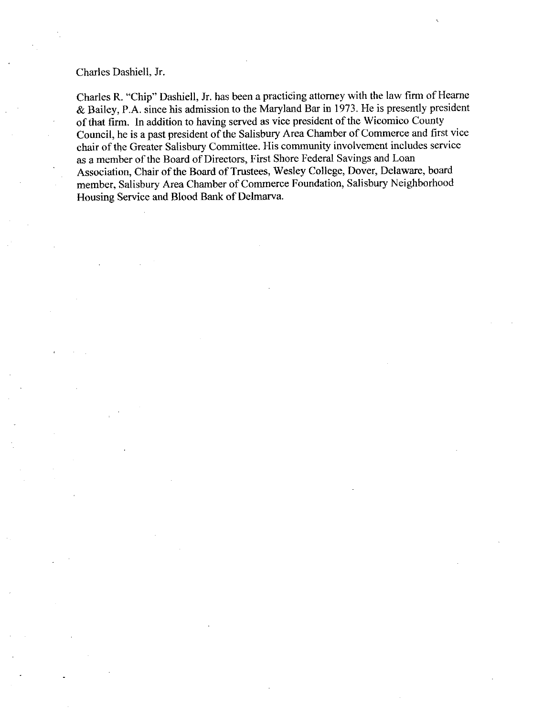Charles Dashiell, Jr.

Charles R. "Chip" Dashiell, Jr. has been a practicing attorney with the law firm of Hearne  $& Bailey, P.A.$  since his admission to the Maryland Bar in 1973. He is presently president of that firm. In addition to having served as vice president of the Wicomico County Council, he is a past president of the Salisbury Area Chamber of Commerce and first vice chair of the Greater Salisbury Committee His community involvement includes service as a member of the Board of Directors, First Shore Federal Savings and Loan Association, Chair of the Board of Trustees, Wesley College, Dover, Delaware, board member, Salisbury Area Chamber of Commerce Foundation, Salisbury Neighborhood Housing Service and Blood Bank of Delmarva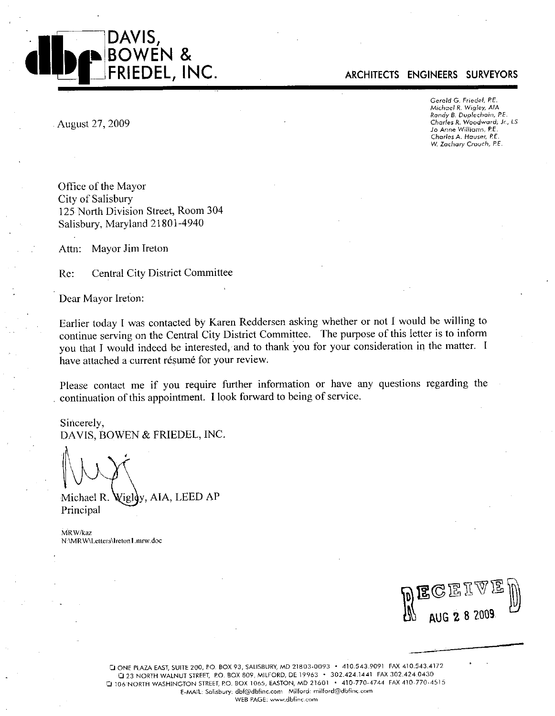

#### ARCHITECTS ENGINEERS SURVEYORS

Gerald G. Friedel, P.E.<br>Michael R. Wigley, AIA<br>Pandu R. Dunlachein michael K. Yngley, Ale<br>Randy B. Duplechain, P.E. Charles R. Woodward, Jr., LS<br>Jo Anne Williams, P.E. Gerald G. Friedel, P.E.<br>Michael R. Wigley, AIA<br>Randy B. Duplechain, P.<br>Charles R. Woodward,<br>Jo Anne Williams, P.E.<br>Charles A. Hauser, P.E. Charles A. Hauser, P.E. W. Zachary Crouch, P.E.

August 27 2009

Office of the Mayor City of Salisbury 125 North Division Street, Room 304 Salisbury, Maryland 21801-4940

Attn: Mayor Jim Ireton

Re: Central City District Committee

Dear Mayor Ireton

Earlier today I was contacted by Karen Reddersen asking whether or not <sup>I</sup> would be willing to continue serving on the Central City District Committee. The purpose of this letter is to inform you that I would indeed be interested, and to thank you for your consideration in the matter. I have attached a current résumé for your review.

Please contact me if you require further information or have any questions regarding the Please contact me if you require further information of have a<br>continuation of this appointment. I look forward to being of service.

Sincerely DAVIS, BOWEN & FRIEDEL, INC.

 $\vee$ 

Michael R. Wigley, AIA, LEED AP Principal

MRW/kaz N:\MRW\Letters\Ireton1.mrw.doc